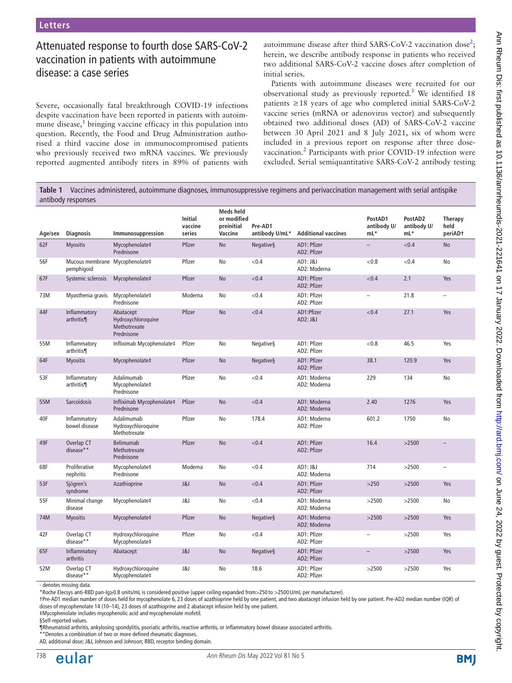# Attenuated response to fourth dose SARS-CoV-2 vaccination in patients with autoimmune disease: a case series

Severe, occasionally fatal breakthrough COVID-19 infections despite vaccination have been reported in patients with autoim-mune disease,<sup>[1](#page-2-0)</sup> bringing vaccine efficacy in this population into question. Recently, the Food and Drug Administration authorised a third vaccine dose in immunocompromised patients who previously received two mRNA vaccines. We previously reported augmented antibody titers in 89% of patients with

autoimmune disease after third SARS-CoV-[2](#page-2-1) vaccination dose<sup>2</sup>; herein, we describe antibody response in patients who received two additional SARS-CoV-2 vaccine doses after completion of initial series.

Patients with autoimmune diseases were recruited for our observational study as previously reported.<sup>[3](#page-2-2)</sup> We identified 18 patients ≥18 years of age who completed initial SARS-CoV-2 vaccine series (mRNA or adenovirus vector) and subsequently obtained two additional doses (AD) of SARS-CoV-2 vaccine between 30 April 2021 and 8 July 2021, six of whom were included in a previous report on response after three dosevaccination.<sup>2</sup> Participants with prior COVID-19 infection were excluded. Serial semiquantitative SARS-CoV-2 antibody testing

<span id="page-0-0"></span>**Table 1** Vaccines administered, autoimmune diagnoses, immunosuppressive regimens and perivaccination management with serial antispike antibody responses

| Age/sex | <b>Diagnosis</b>                             | Immunosuppression                                             | <b>Initial</b><br>vaccine<br>series | <b>Meds</b> held<br>or modified<br>preinitial<br>Vaccine | Pre-AD1<br>antibody U/mL* | <b>Additional vaccines</b>   | PostAD1<br>antibody U/<br>$mL^*$ | PostAD2<br>antibody U/<br>$mL^*$ | <b>Therapy</b><br>held<br>periAD <sup>+</sup> |
|---------|----------------------------------------------|---------------------------------------------------------------|-------------------------------------|----------------------------------------------------------|---------------------------|------------------------------|----------------------------------|----------------------------------|-----------------------------------------------|
| 62F     | <b>Myositis</b>                              | Mycophenolate‡<br>Prednisone                                  | Pfizer                              | <b>No</b>                                                | <b>Negative</b> §         | AD1: Pfizer<br>AD2: Pfizer   |                                  | < 0.4                            | <b>No</b>                                     |
| 56F     | Mucous membrane Mycophenolate‡<br>pemphigoid |                                                               | Pfizer                              | No                                                       | < 0.4                     | AD1: J&J<br>AD2: Moderna     | < 0.8                            | < 0.4                            | No                                            |
| 67F     | Systemic sclerosis                           | Mycophenolate‡                                                | Pfizer                              | No                                                       | < 0.4                     | AD1: Pfizer<br>AD2: Pfizer   | < 0.4                            | 2.1                              | Yes                                           |
| 73M     | Myasthenia gravis                            | Mycophenolate‡<br>Prednisone                                  | Moderna                             | No                                                       | ${<}0.4$                  | AD1: Pfizer<br>AD2: Pfizer   | $\overline{\phantom{m}}$         | 21.8                             | $\qquad \qquad -$                             |
| 44F     | Inflammatory<br>arthritis¶                   | Abatacept<br>Hydroxychloroquine<br>Methotrexate<br>Prednisone | Pfizer                              | No                                                       | < 0.4                     | AD1:Pfizer<br>AD2: J&J       | < 0.4                            | 27.1                             | Yes                                           |
| 55M     | Inflammatory<br>arthritis¶                   | Infliximab Mycophenolate‡                                     | Pfizer                              | No                                                       | <b>Negatives</b>          | AD1: Pfizer<br>AD2: Pfizer   | < 0.8                            | 46.5                             | Yes                                           |
| 64F     | <b>Myositis</b>                              | Mycophenolate‡                                                | Pfizer                              | No                                                       | <b>Negative</b> §         | AD1: Pfizer<br>AD2: Pfizer   | 38.1                             | 120.9                            | Yes                                           |
| 53F     | Inflammatory<br>arthritis¶                   | Adalimumab<br>Mycophenolate‡<br>Prednisone                    | Pfizer                              | No                                                       | < 0.4                     | AD1: Moderna<br>AD2: Moderna | 229                              | 134                              | No                                            |
| 55M     | <b>Sarcoidosis</b>                           | Infliximab Mycophenolate‡<br>Prednisone                       | Pfizer                              | No                                                       | < 0.4                     | AD1: Moderna<br>AD2: Moderna | 2.40                             | 1276                             | Yes                                           |
| 40F     | Inflammatory<br>bowel disease                | Adalimumab<br>Hydroxychloroquine<br>Methotrexate              | Pfizer                              | No                                                       | 178.4                     | AD1: Moderna<br>AD2: Pfizer  | 601.2                            | 1750                             | No                                            |
| 49F     | Overlap CT<br>disease**                      | Belimumab<br>Methotrexate<br>Prednisone                       | Pfizer                              | No                                                       | < 0.4                     | AD1: Pfizer<br>AD2: Pfizer   | 16.4                             | >2500                            | $\overline{\phantom{0}}$                      |
| 68F     | Proliferative<br>nephritis                   | Mycophenolate‡<br>Prednisone                                  | Moderna                             | No                                                       | ${<}0.4$                  | AD1: J&J<br>AD2: Moderna     | 714                              | >2500                            | $\overline{\phantom{m}}$                      |
| 53F     | Sjögren's<br>syndrome                        | Azathioprine                                                  | J&J                                 | No                                                       | < 0.4                     | AD1: Pfizer<br>AD2: Pfizer   | $>250$                           | >2500                            | Yes                                           |
| 55F     | Minimal change<br>disease                    | Mycophenolate‡                                                | J&J                                 | No                                                       | ${<}0.4$                  | AD1: Moderna<br>AD2: Moderna | >2500                            | >2500                            | No                                            |
| 74M     | <b>Myositis</b>                              | Mycophenolate‡                                                | Pfizer                              | <b>No</b>                                                | Negatives                 | AD1: Moderna<br>AD2: Moderna | >2500                            | >2500                            | Yes                                           |
| 42F     | Overlap CT<br>disease**                      | Hydroxychloroquine<br>Mycophenolate‡                          | Pfizer                              | No                                                       | < 0.4                     | AD1: Pfizer<br>AD2: Pfizer   | $\overline{\phantom{a}}$         | >2500                            | Yes                                           |
| 65F     | Inflammatory<br>arthritis                    | Abatacept                                                     | J&J                                 | No                                                       | <b>Negative§</b>          | AD1: Pfizer<br>AD2: Pfizer   | $\qquad \qquad -$                | >2500                            | Yes                                           |
| 52M     | Overlap CT<br>disease**                      | Hydroxychloroquine<br>Mycophenolate‡                          | J&J                                 | No                                                       | 18.6                      | AD1: Pfizer<br>AD2: Pfizer   | >2500                            | >2500                            | Yes                                           |

- denotes missing data

\*Roche Elecsys anti-RBD pan-Ig≥0.8 units/mL is considered positive (upper ceiling expanded from>250 to >2500U/mL per manufacturer).

†Pre-AD1 median number of doses held for mycophenolate 6, 23 doses of azathioprine held by one patient, and two abatacept infusion held by one patient. Pre-AD2 median number (IQR) of doses of mycophenolate 14 (10–14), 23 doses of azathioprine and 2 abatacept infusion held by one patient.

‡Mycophenolate includes mycophenolic acid and mycophenolate mofetil.

§Self-reported values

¶Rheumatoid arthritis, ankylosing spondylitis, psoriatic arthritis, reactive arthritis, or inflammatory bowel disease associated arthritis.

\*\*Denotes a combination of two or more defined rheumatic diagnoses.

AD, additional dose; J&J, Johnson and Johnson; RBD, receptor binding domain.

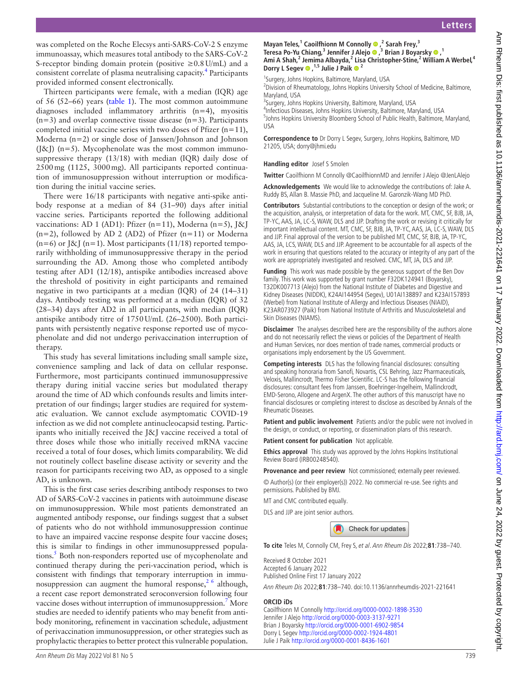was completed on the Roche Elecsys anti-SARS-CoV-2 S enzyme immunoassay, which measures total antibody to the SARS-CoV-2 S-receptor binding domain protein (positive  $\geq 0.8$  U/mL) and a consistent correlate of plasma neutralising capacity.<sup>4</sup> Participants provided informed consent electronically.

Thirteen participants were female, with a median (IQR) age of 56 (52–66) years [\(table](#page-0-0) 1). The most common autoimmune diagnoses included inflammatory arthritis (n=4), myositis  $(n=3)$  and overlap connective tissue disease  $(n=3)$ . Participants completed initial vaccine series with two doses of Pfizer  $(n=11)$ , Moderna (n=2) or single dose of Janssen/Johnson and Johnson (J&J)  $(n=5)$ . Mycophenolate was the most common immunosuppressive therapy (13/18) with median (IQR) daily dose of 2500mg (1125, 3000mg). All participants reported continuation of immunosuppression without interruption or modification during the initial vaccine series.

There were 16/18 participants with negative anti-spike antibody response at a median of 84 (31–90) days after initial vaccine series. Participants reported the following additional vaccinations: AD 1 (AD1): Pfizer (n=11), Moderna (n=5),  $[\&]$  $(n=2)$ , followed by AD 2 (AD2) of Pfizer  $(n=11)$  or Moderna  $(n=6)$  or J&J (n=1). Most participants (11/18) reported temporarily withholding of immunosuppressive therapy in the period surrounding the AD. Among those who completed antibody testing after AD1 (12/18), antispike antibodies increased above the threshold of positivity in eight participants and remained negative in two participants at a median (IQR) of 24 (14–31) days. Antibody testing was performed at a median (IQR) of 32 (28–34) days after AD2 in all participants, with median (IQR) antispike antibody titre of 1750U/mL (26–2500). Both participants with persistently negative response reported use of mycophenolate and did not undergo perivaccination interruption of therapy.

This study has several limitations including small sample size, convenience sampling and lack of data on cellular response. Furthermore, most participants continued immunosuppressive therapy during initial vaccine series but modulated therapy around the time of AD which confounds results and limits interpretation of our findings; larger studies are required for systematic evaluation. We cannot exclude asymptomatic COVID-19 infection as we did not complete antinucleocapsid testing. Participants who initially received the J&J vaccine received a total of three doses while those who initially received mRNA vaccine received a total of four doses, which limits comparability. We did not routinely collect baseline disease activity or severity and the reason for participants receiving two AD, as opposed to a single AD, is unknown.

This is the first case series describing antibody responses to two AD of SARS-CoV-2 vaccines in patients with autoimmune disease on immunosuppression. While most patients demonstrated an augmented antibody response, our findings suggest that a subset of patients who do not withhold immunosuppression continue to have an impaired vaccine response despite four vaccine doses; this is similar to findings in other immunosuppressed popula-tions.<sup>[5](#page-2-4)</sup> Both non-responders reported use of mycophenolate and continued therapy during the peri-vaccination period, which is consistent with findings that temporary interruption in immunosuppression can augment the humoral response,  $2^6$  although, a recent case report demonstrated seroconversion following four vaccine doses without interruption of immunosuppression.<sup>7</sup> More studies are needed to identify patients who may benefit from antibody monitoring, refinement in vaccination schedule, adjustment of perivaccination immunosuppression, or other strategies such as prophylactic therapies to better protect this vulnerable population.

#### **MayanTeles,<sup>1</sup> Caoilfhionn M Connolly**  $\bullet$  **,<sup>2</sup> Sarah Frey,<sup>3</sup> Teresa Po-Yu Chiang,3 Jennifer J Alejo,3 Brian J Boyarsky,1** Ami A Shah,<sup>2</sup> Jemima Albayda,<sup>2</sup> Lisa Christopher-Stine,<sup>2</sup> William A Werbel,<sup>4</sup> **Dorry L Segev,1,5 Julie J Paik 2**

<sup>1</sup>Surgery, Johns Hopkins, Baltimore, Maryland, USA

<sup>2</sup> Division of Rheumatology, Johns Hopkins University School of Medicine, Baltimore, Maryland, USA

<sup>3</sup>Surgery, Johns Hopkins University, Baltimore, Maryland, USA

4 Infectious Diseases, Johns Hopkins University, Baltimore, Maryland, USA 5 Johns Hopkins University Bloomberg School of Public Health, Baltimore, Maryland, USA

**Correspondence to** Dr Dorry L Segev, Surgery, Johns Hopkins, Baltimore, MD 21205, USA; dorry@jhmi.edu

#### **Handling editor** Josef S Smolen

**Twitter** Caoilfhionn M Connolly [@CaoilfhionnMD](https://twitter.com/CaoilfhionnMD) and Jennifer J Alejo [@JenLAlejo](https://twitter.com/JenLAlejo)

**Acknowledgements** We would like to acknowledge the contributions of: Jake A. Ruddy BS, Allan B. Massie PhD, and Jacqueline M. Garonzik-Wang MD PhD.

**Contributors** Substantial contributions to the conception or design of the work; or the acquisition, analysis, or interpretation of data for the work. MT, CMC, SF, BJB, JA, TP-YC, AAS, JA, LC-S, WAW, DLS and JJP. Drafting the work or revising it critically for important intellectual content. MT, CMC, SF, BJB, JA, TP-YC, AAS, JA, LC-S, WAW, DLS and JJP. Final approval of the version to be published MT, CMC, SF, BJB, JA, TP-YC, AAS, JA, LCS, WAW, DLS and JJP. Agreement to be accountable for all aspects of the work in ensuring that questions related to the accuracy or integrity of any part of the work are appropriately investigated and resolved. CMC, MT, JA, DLS and JJP.

**Funding** This work was made possible by the generous support of the Ben Dov family. This work was supported by grant number F32DK124941 (Boyarsky), T32DK007713 (Alejo) from the National Institute of Diabetes and Digestive and Kidney Diseases (NIDDK), K24AI144954 (Segev), U01AI138897 and K23AI157893 (Werbel) from National Institute of Allergy and Infectious Diseases (NIAID), K23AR073927 (Paik) from National Institute of Arthritis and Musculoskeletal and Skin Diseases (NIAMS).

**Disclaimer** The analyses described here are the responsibility of the authors alone and do not necessarily reflect the views or policies of the Department of Health and Human Services, nor does mention of trade names, commercial products or organisations imply endorsement by the US Government.

**Competing interests** DLS has the following financial disclosures: consulting and speaking honoraria from Sanofi, Novartis, CSL Behring, Jazz Pharmaceuticals, Veloxis, Mallincrodt, Thermo Fisher Scientific. LC-S has the following financial disclosures: consultant fees from Janssen, Boehringer-Ingelheim, Mallinckrodt, EMD-Serono, Allogene and ArgenX. The other authors of this manuscript have no financial disclosures or completing interest to disclose as described by Annals of the Rheumatic Diseases.

**Patient and public involvement** Patients and/or the public were not involved in the design, or conduct, or reporting, or dissemination plans of this research.

**Patient consent for publication** Not applicable.

**Ethics approval** This study was approved by the Johns Hopkins Institutional Review Board (IRB00248540).

**Provenance and peer review** Not commissioned; externally peer reviewed.

© Author(s) (or their employer(s)) 2022. No commercial re-use. See rights and permissions. Published by BMJ.

MT and CMC contributed equally.

DLS and JJP are joint senior authors.

Check for updates

**To cite** Teles M, Connolly CM, Frey S, et al. Ann Rheum Dis 2022;**81**:738–740.

Received 8 October 2021 Accepted 6 January 2022 Published Online First 17 January 2022

Ann Rheum Dis 2022;**81**:738–740. doi:10.1136/annrheumdis-2021-221641

#### **ORCID iDs**

Caoilfhionn M Connolly<http://orcid.org/0000-0002-1898-3530> Jennifer J Alejo <http://orcid.org/0000-0003-3137-9271> Brian J Boyarsky<http://orcid.org/0000-0001-6902-9854> Dorry L Segev<http://orcid.org/0000-0002-1924-4801> Julie J Paik <http://orcid.org/0000-0001-8436-1601>